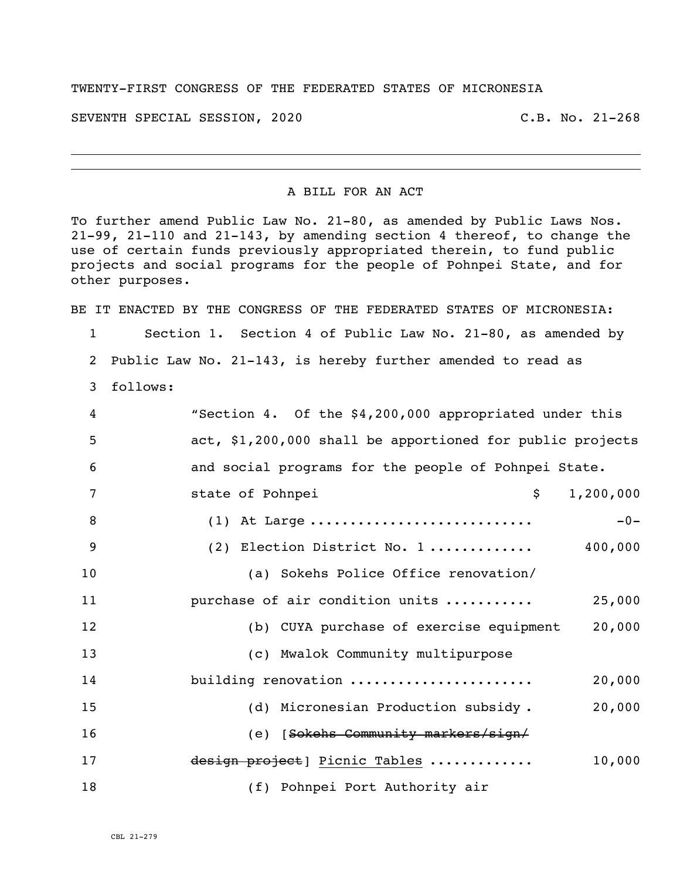## TWENTY-FIRST CONGRESS OF THE FEDERATED STATES OF MICRONESIA

SEVENTH SPECIAL SESSION, 2020 C.B. No. 21-268

i<br>L

## A BILL FOR AN ACT

To further amend Public Law No. 21-80, as amended by Public Laws Nos. 21-99, 21-110 and 21-143, by amending section 4 thereof, to change the use of certain funds previously appropriated therein, to fund public projects and social programs for the people of Pohnpei State, and for other purposes.

BE IT ENACTED BY THE CONGRESS OF THE FEDERATED STATES OF MICRONESIA:

1 Section 1. Section 4 of Public Law No. 21-80, as amended by 2 Public Law No. 21-143, is hereby further amended to read as

3 follows:

| 4  | "Section 4. Of the \$4,200,000 appropriated under this    |
|----|-----------------------------------------------------------|
| 5  | act, \$1,200,000 shall be apportioned for public projects |
| 6  | and social programs for the people of Pohnpei State.      |
| 7  | $\mathsf{S}$<br>1,200,000<br>state of Pohnpei             |
| 8  | $(1)$ At Large<br>$-0-$                                   |
| 9  | (2) Election District No. 1 $400,000$                     |
| 10 | (a) Sokehs Police Office renovation/                      |
| 11 | purchase of air condition units<br>25,000                 |
| 12 | (b) CUYA purchase of exercise equipment<br>20,000         |
| 13 | (c) Mwalok Community multipurpose                         |
| 14 | building renovation<br>20,000                             |
| 15 | (d) Micronesian Production subsidy.<br>20,000             |
| 16 | (e) [Sokehs Community markers/sign/                       |
| 17 | design project] Picnic Tables<br>10,000                   |
| 18 | (f) Pohnpei Port Authority air                            |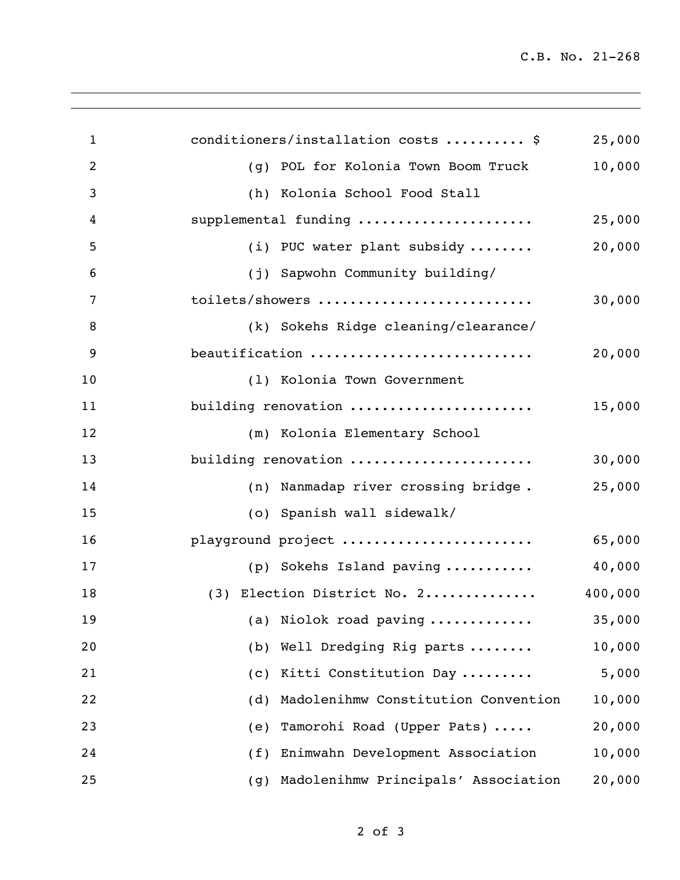| $\mathbf{1}$   | conditioners/installation costs  \$        | 25,000  |
|----------------|--------------------------------------------|---------|
| $\overline{2}$ | (g) POL for Kolonia Town Boom Truck        | 10,000  |
| 3              | (h) Kolonia School Food Stall              |         |
| 4              | supplemental funding                       | 25,000  |
| 5              | (i) PUC water plant subsidy                | 20,000  |
| 6              | (j) Sapwohn Community building/            |         |
| 7              | toilets/showers                            | 30,000  |
| 8              | (k) Sokehs Ridge cleaning/clearance/       |         |
| 9              | beautification                             | 20,000  |
| 10             | (1) Kolonia Town Government                |         |
| 11             | building renovation                        | 15,000  |
| 12             | (m) Kolonia Elementary School              |         |
| 13             | building renovation                        | 30,000  |
| 14             | (n) Nanmadap river crossing bridge.        | 25,000  |
| 15             | (o) Spanish wall sidewalk/                 |         |
| 16             | playground project                         | 65,000  |
| 17             | (p) Sokehs Island paving                   | 40,000  |
| 18             | (3) Election District No. 2                | 400,000 |
| 19             | (a) Niolok road paving                     | 35,000  |
| 20             | (b) Well Dredging Rig parts                | 10,000  |
| 21             | Kitti Constitution Day<br>(C)              | 5,000   |
| 22             | Madolenihmw Constitution Convention<br>(d) | 10,000  |
| 23             | Tamorohi Road (Upper Pats)<br>(e)          | 20,000  |
| 24             | Enimwahn Development Association<br>(f)    | 10,000  |
| 25             | Madolenihmw Principals' Association<br>(g) | 20,000  |